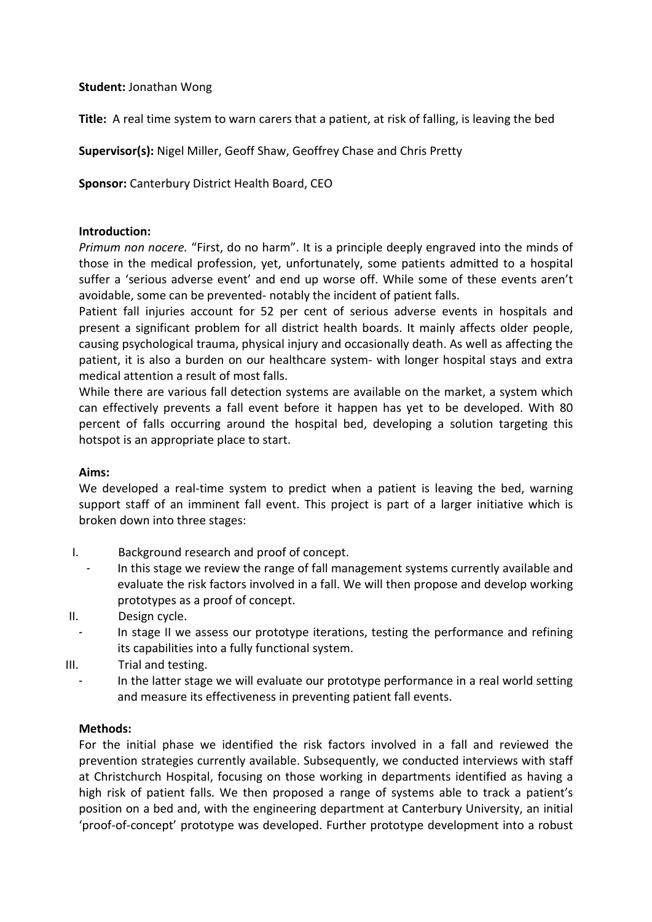# **Student:** Jonathan Wong

**Title:** A real time system to warn carers that a patient, at risk of falling, is leaving the bed

**Supervisor(s):** Nigel Miller, Geoff Shaw, Geoffrey Chase and Chris Pretty

**Sponsor:** Canterbury District Health Board, CEO

### **Introduction:**

*Primum non nocere.* "First, do no harm". It is a principle deeply engraved into the minds of those in the medical profession, yet, unfortunately, some patients admitted to a hospital suffer a 'serious adverse event' and end up worse off. While some of these events aren't avoidable, some can be prevented- notably the incident of patient falls.

Patient fall injuries account for 52 per cent of serious adverse events in hospitals and present a significant problem for all district health boards. It mainly affects older people, causing psychological trauma, physical injury and occasionally death. As well as affecting the patient, it is also a burden on our healthcare system- with longer hospital stays and extra medical attention a result of most falls.

While there are various fall detection systems are available on the market, a system which can effectively prevents a fall event before it happen has yet to be developed. With 80 percent of falls occurring around the hospital bed, developing a solution targeting this hotspot is an appropriate place to start.

### **Aims:**

We developed a real-time system to predict when a patient is leaving the bed, warning support staff of an imminent fall event. This project is part of a larger initiative which is broken down into three stages:

- I. Background research and proof of concept.
- In this stage we review the range of fall management systems currently available and evaluate the risk factors involved in a fall. We will then propose and develop working prototypes as a proof of concept.
- II. Design cycle.
	- In stage II we assess our prototype iterations, testing the performance and refining its capabilities into a fully functional system.
- III. Trial and testing.
	- In the latter stage we will evaluate our prototype performance in a real world setting and measure its effectiveness in preventing patient fall events.

### **Methods:**

For the initial phase we identified the risk factors involved in a fall and reviewed the prevention strategies currently available. Subsequently, we conducted interviews with staff at Christchurch Hospital, focusing on those working in departments identified as having a high risk of patient falls. We then proposed a range of systems able to track a patient's position on a bed and, with the engineering department at Canterbury University, an initial 'proof-of-concept' prototype was developed. Further prototype development into a robust